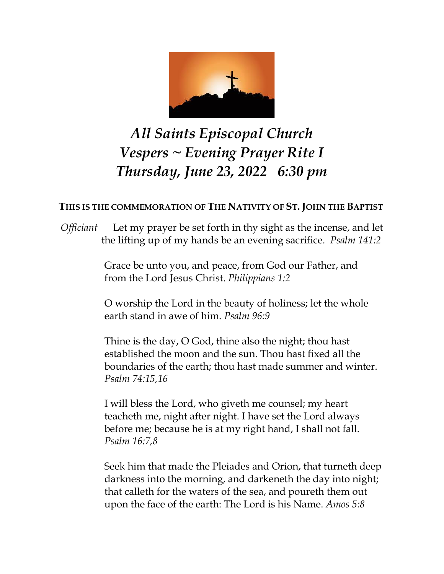

# *All Saints Episcopal Church Vespers ~ Evening Prayer Rite I Thursday, June 23, 2022 6:30 pm*

#### **THIS IS THE COMMEMORATION OF THE NATIVITY OF ST.JOHN THE BAPTIST**

*Officiant* Let my prayer be set forth in thy sight as the incense, and let the lifting up of my hands be an evening sacrifice. *Psalm 141:2*

> Grace be unto you, and peace, from God our Father, and from the Lord Jesus Christ. *Philippians 1:2*

O worship the Lord in the beauty of holiness; let the whole earth stand in awe of him. *Psalm 96:9*

Thine is the day, O God, thine also the night; thou hast established the moon and the sun. Thou hast fixed all the boundaries of the earth; thou hast made summer and winter. *Psalm 74:15,16*

I will bless the Lord, who giveth me counsel; my heart teacheth me, night after night. I have set the Lord always before me; because he is at my right hand, I shall not fall. *Psalm 16:7,8*

Seek him that made the Pleiades and Orion, that turneth deep darkness into the morning, and darkeneth the day into night; that calleth for the waters of the sea, and poureth them out upon the face of the earth: The Lord is his Name. *Amos 5:8*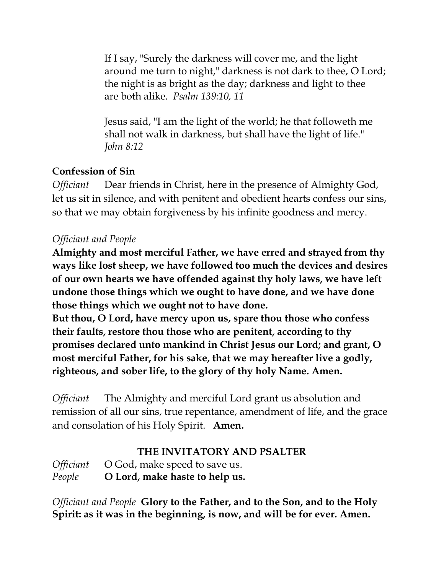If I say, "Surely the darkness will cover me, and the light around me turn to night," darkness is not dark to thee, O Lord; the night is as bright as the day; darkness and light to thee are both alike. *Psalm 139:10, 11*

Jesus said, "I am the light of the world; he that followeth me shall not walk in darkness, but shall have the light of life." *John 8:12*

# **Confession of Sin**

*Officiant* Dear friends in Christ, here in the presence of Almighty God, let us sit in silence, and with penitent and obedient hearts confess our sins, so that we may obtain forgiveness by his infinite goodness and mercy.

# *Officiant and People*

**Almighty and most merciful Father, we have erred and strayed from thy ways like lost sheep, we have followed too much the devices and desires of our own hearts we have offended against thy holy laws, we have left undone those things which we ought to have done, and we have done those things which we ought not to have done.**

**But thou, O Lord, have mercy upon us, spare thou those who confess their faults, restore thou those who are penitent, according to thy promises declared unto mankind in Christ Jesus our Lord; and grant, O most merciful Father, for his sake, that we may hereafter live a godly, righteous, and sober life, to the glory of thy holy Name. Amen.**

*Officiant* The Almighty and merciful Lord grant us absolution and remission of all our sins, true repentance, amendment of life, and the grace and consolation of his Holy Spirit. **Amen.**

# **THE INVITATORY AND PSALTER**

|        | <i>Officiant</i> O God, make speed to save us. |
|--------|------------------------------------------------|
| People | O Lord, make haste to help us.                 |

*Officiant and People* **Glory to the Father, and to the Son, and to the Holy Spirit: as it was in the beginning, is now, and will be for ever. Amen.**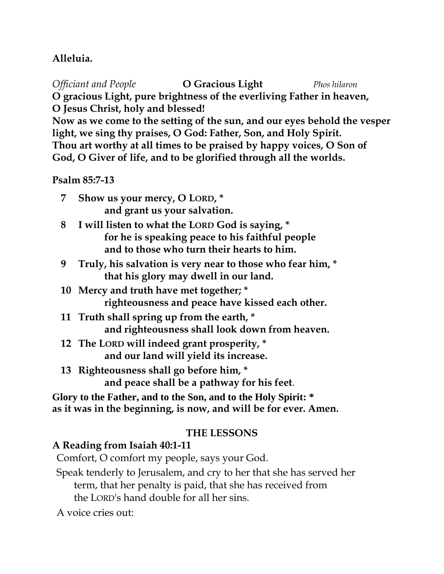## **Alleluia.**

*Officiant and People* **O Gracious Light** *Phos hilaron* **O gracious Light, pure brightness of the everliving Father in heaven, O Jesus Christ, holy and blessed! Now as we come to the setting of the sun, and our eyes behold the vesper light, we sing thy praises, O God: Father, Son, and Holy Spirit. Thou art worthy at all times to be praised by happy voices, O Son of God, O Giver of life, and to be glorified through all the worlds.**

#### **Psalm 85:7-13**

- **7 Show us your mercy, O LORD, \* and grant us your salvation.**
- **8 I will listen to what the LORD God is saying, \* for he is speaking peace to his faithful people and to those who turn their hearts to him.**
- **9 Truly, his salvation is very near to those who fear him, \* that his glory may dwell in our land.**
- **10 Mercy and truth have met together; \* righteousness and peace have kissed each other.**
- **11 Truth shall spring up from the earth, \* and righteousness shall look down from heaven.**
- **12 The LORD will indeed grant prosperity, \* and our land will yield its increase.**
- **13 Righteousness shall go before him, \* and peace shall be a pathway for his feet**.

**Glory to the Father, and to the Son, and to the Holy Spirit: \* as it was in the beginning, is now, and will be for ever. Amen.**

#### **THE LESSONS**

# **A Reading from Isaiah 40:1-11**

Comfort, O comfort my people, says your God.

Speak tenderly to Jerusalem, and cry to her that she has served her term, that her penalty is paid, that she has received from the LORD's hand double for all her sins.

A voice cries out: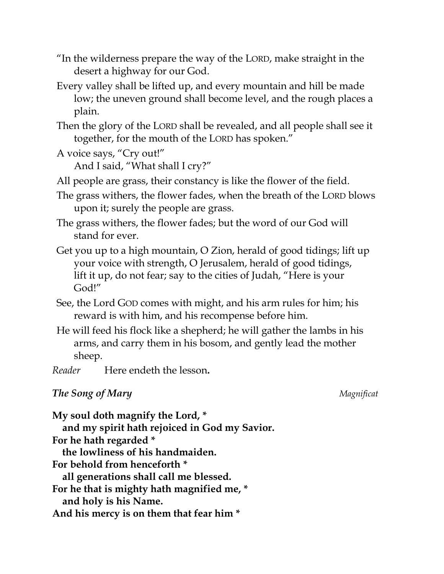- "In the wilderness prepare the way of the LORD, make straight in the desert a highway for our God.
- Every valley shall be lifted up, and every mountain and hill be made low; the uneven ground shall become level, and the rough places a plain.
- Then the glory of the LORD shall be revealed, and all people shall see it together, for the mouth of the LORD has spoken."
- A voice says, "Cry out!"

And I said, "What shall I cry?"

All people are grass, their constancy is like the flower of the field.

- The grass withers, the flower fades, when the breath of the LORD blows upon it; surely the people are grass.
- The grass withers, the flower fades; but the word of our God will stand for ever.

Get you up to a high mountain, O Zion, herald of good tidings; lift up your voice with strength, O Jerusalem, herald of good tidings, lift it up, do not fear; say to the cities of Judah, "Here is your God!"

- See, the Lord GOD comes with might, and his arm rules for him; his reward is with him, and his recompense before him.
- He will feed his flock like a shepherd; he will gather the lambs in his arms, and carry them in his bosom, and gently lead the mother sheep.

*Reader* Here endeth the lesson.

#### *The Song of Mary Magnificat*

**My soul doth magnify the Lord, \* and my spirit hath rejoiced in God my Savior. For he hath regarded \* the lowliness of his handmaiden. For behold from henceforth \* all generations shall call me blessed. For he that is mighty hath magnified me, \* and holy is his Name. And his mercy is on them that fear him \***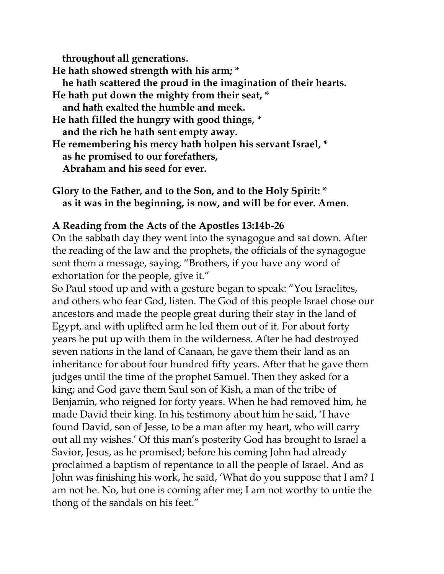**throughout all generations.**

**He hath showed strength with his arm; \* he hath scattered the proud in the imagination of their hearts. He hath put down the mighty from their seat, \* and hath exalted the humble and meek. He hath filled the hungry with good things, \* and the rich he hath sent empty away. He remembering his mercy hath holpen his servant Israel, \* as he promised to our forefathers, Abraham and his seed for ever.**

**Glory to the Father, and to the Son, and to the Holy Spirit: \* as it was in the beginning, is now, and will be for ever. Amen.**

#### **A Reading from the Acts of the Apostles 13:14b-26**

On the sabbath day they went into the synagogue and sat down. After the reading of the law and the prophets, the officials of the synagogue sent them a message, saying, "Brothers, if you have any word of exhortation for the people, give it."

So Paul stood up and with a gesture began to speak: "You Israelites, and others who fear God, listen. The God of this people Israel chose our ancestors and made the people great during their stay in the land of Egypt, and with uplifted arm he led them out of it. For about forty years he put up with them in the wilderness. After he had destroyed seven nations in the land of Canaan, he gave them their land as an inheritance for about four hundred fifty years. After that he gave them judges until the time of the prophet Samuel. Then they asked for a king; and God gave them Saul son of Kish, a man of the tribe of Benjamin, who reigned for forty years. When he had removed him, he made David their king. In his testimony about him he said, 'I have found David, son of Jesse, to be a man after my heart, who will carry out all my wishes.' Of this man's posterity God has brought to Israel a Savior, Jesus, as he promised; before his coming John had already proclaimed a baptism of repentance to all the people of Israel. And as John was finishing his work, he said, 'What do you suppose that I am? I am not he. No, but one is coming after me; I am not worthy to untie the thong of the sandals on his feet."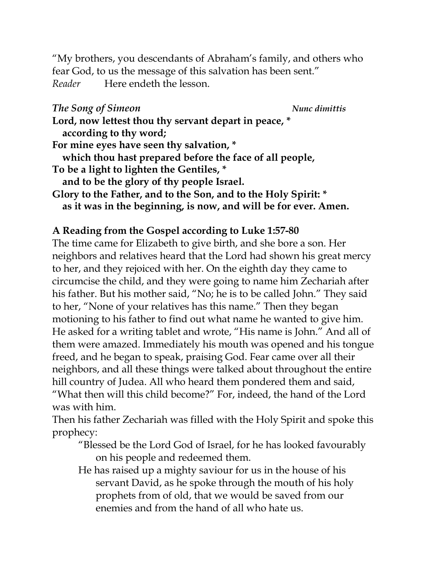"My brothers, you descendants of Abraham's family, and others who fear God, to us the message of this salvation has been sent." *Reader* Here endeth the lesson.

#### *The Song of Simeon**Nunc dimittis*

**Lord, now lettest thou thy servant depart in peace, \* according to thy word; For mine eyes have seen thy salvation, \* which thou hast prepared before the face of all people, To be a light to lighten the Gentiles, \* and to be the glory of thy people Israel. Glory to the Father, and to the Son, and to the Holy Spirit: \* as it was in the beginning, is now, and will be for ever. Amen.**

#### **A Reading from the Gospel according to Luke 1:57-80**

The time came for Elizabeth to give birth, and she bore a son. Her neighbors and relatives heard that the Lord had shown his great mercy to her, and they rejoiced with her. On the eighth day they came to circumcise the child, and they were going to name him Zechariah after his father. But his mother said, "No; he is to be called John." They said to her, "None of your relatives has this name." Then they began motioning to his father to find out what name he wanted to give him. He asked for a writing tablet and wrote, "His name is John." And all of them were amazed. Immediately his mouth was opened and his tongue freed, and he began to speak, praising God. Fear came over all their neighbors, and all these things were talked about throughout the entire hill country of Judea. All who heard them pondered them and said, "What then will this child become?" For, indeed, the hand of the Lord was with him.

Then his father Zechariah was filled with the Holy Spirit and spoke this prophecy:

"Blessed be the Lord God of Israel, for he has looked favourably on his people and redeemed them.

He has raised up a mighty saviour for us in the house of his servant David, as he spoke through the mouth of his holy prophets from of old, that we would be saved from our enemies and from the hand of all who hate us.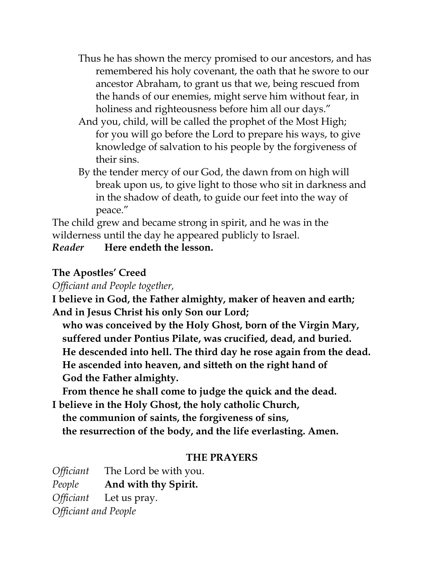- Thus he has shown the mercy promised to our ancestors, and has remembered his holy covenant, the oath that he swore to our ancestor Abraham, to grant us that we, being rescued from the hands of our enemies, might serve him without fear, in holiness and righteousness before him all our days."
- And you, child, will be called the prophet of the Most High; for you will go before the Lord to prepare his ways, to give knowledge of salvation to his people by the forgiveness of their sins.
- By the tender mercy of our God, the dawn from on high will break upon us, to give light to those who sit in darkness and in the shadow of death, to guide our feet into the way of peace."

The child grew and became strong in spirit, and he was in the wilderness until the day he appeared publicly to Israel.

*Reader* **Here endeth the lesson.**

# **The Apostles' Creed**

*Officiant and People together,* 

**I believe in God, the Father almighty, maker of heaven and earth; And in Jesus Christ his only Son our Lord;**

 **who was conceived by the Holy Ghost, born of the Virgin Mary, suffered under Pontius Pilate, was crucified, dead, and buried. He descended into hell. The third day he rose again from the dead. He ascended into heaven, and sitteth on the right hand of God the Father almighty.**

 **From thence he shall come to judge the quick and the dead.**

**I believe in the Holy Ghost, the holy catholic Church, the communion of saints, the forgiveness of sins, the resurrection of the body, and the life everlasting. Amen.**

# **THE PRAYERS**

*Officiant* The Lord be with you. *People* **And with thy Spirit.** *Officiant* Let us pray. *Officiant and People*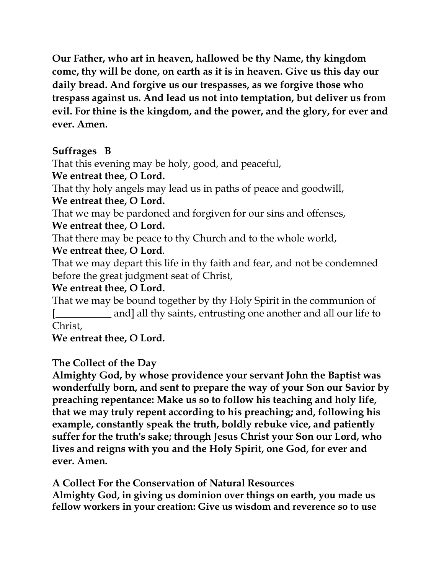**Our Father, who art in heaven, hallowed be thy Name, thy kingdom come, thy will be done, on earth as it is in heaven. Give us this day our daily bread. And forgive us our trespasses, as we forgive those who trespass against us. And lead us not into temptation, but deliver us from evil. For thine is the kingdom, and the power, and the glory, for ever and ever. Amen.** 

# **Suffrages B**

That this evening may be holy, good, and peaceful,

#### **We entreat thee, O Lord.**

That thy holy angels may lead us in paths of peace and goodwill, **We entreat thee, O Lord.**

That we may be pardoned and forgiven for our sins and offenses, **We entreat thee, O Lord.**

That there may be peace to thy Church and to the whole world,

#### **We entreat thee, O Lord***.*

That we may depart this life in thy faith and fear, and not be condemned before the great judgment seat of Christ,

#### **We entreat thee, O Lord.**

That we may be bound together by thy Holy Spirit in the communion of [**\_\_\_\_\_\_\_\_\_** and] all thy saints, entrusting one another and all our life to Christ,

**We entreat thee, O Lord.**

# **The Collect of the Day**

**Almighty God, by whose providence your servant John the Baptist was wonderfully born, and sent to prepare the way of your Son our Savior by preaching repentance: Make us so to follow his teaching and holy life, that we may truly repent according to his preaching; and, following his example, constantly speak the truth, boldly rebuke vice, and patiently suffer for the truth's sake; through Jesus Christ your Son our Lord, who lives and reigns with you and the Holy Spirit, one God, for ever and ever. Amen***.*

**A Collect For the Conservation of Natural Resources**

**Almighty God, in giving us dominion over things on earth, you made us fellow workers in your creation: Give us wisdom and reverence so to use**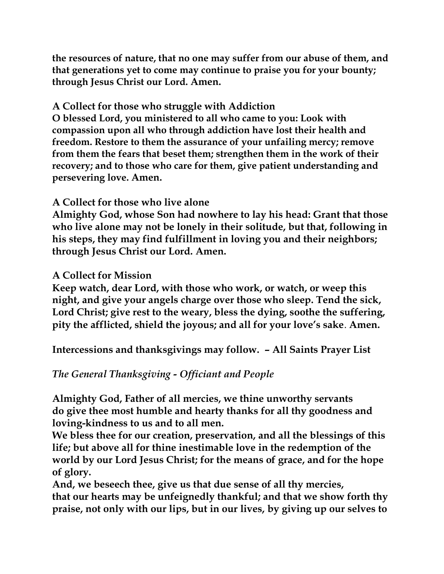**the resources of nature, that no one may suffer from our abuse of them, and that generations yet to come may continue to praise you for your bounty; through Jesus Christ our Lord. Amen.**

## **A Collect for those who struggle with Addiction**

**O blessed Lord, you ministered to all who came to you: Look with compassion upon all who through addiction have lost their health and freedom. Restore to them the assurance of your unfailing mercy; remove from them the fears that beset them; strengthen them in the work of their recovery; and to those who care for them, give patient understanding and persevering love. Amen.**

## **A Collect for those who live alone**

**Almighty God, whose Son had nowhere to lay his head: Grant that those who live alone may not be lonely in their solitude, but that, following in his steps, they may find fulfillment in loving you and their neighbors; through Jesus Christ our Lord. Amen.**

## **A Collect for Mission**

**Keep watch, dear Lord, with those who work, or watch, or weep this night, and give your angels charge over those who sleep. Tend the sick, Lord Christ; give rest to the weary, bless the dying, soothe the suffering, pity the afflicted, shield the joyous; and all for your love's sake**. **Amen.**

**Intercessions and thanksgivings may follow. – All Saints Prayer List**

# *The General Thanksgiving - Officiant and People*

**Almighty God, Father of all mercies, we thine unworthy servants do give thee most humble and hearty thanks for all thy goodness and loving-kindness to us and to all men.**

**We bless thee for our creation, preservation, and all the blessings of this life; but above all for thine inestimable love in the redemption of the world by our Lord Jesus Christ; for the means of grace, and for the hope of glory.**

**And, we beseech thee, give us that due sense of all thy mercies, that our hearts may be unfeignedly thankful; and that we show forth thy praise, not only with our lips, but in our lives, by giving up our selves to**